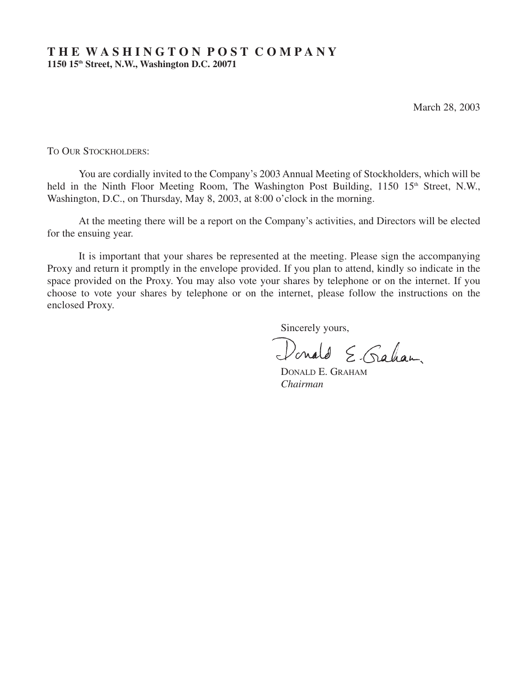# **T H E W A S H I N G T O N P O S T C O M P A N Y 1150 15th Street, N.W., Washington D.C. 20071**

March 28, 2003

TO OUR STOCKHOLDERS:

You are cordially invited to the Company's 2003 Annual Meeting of Stockholders, which will be held in the Ninth Floor Meeting Room, The Washington Post Building, 1150 15<sup>th</sup> Street, N.W., Washington, D.C., on Thursday, May 8, 2003, at 8:00 o'clock in the morning.

At the meeting there will be a report on the Company's activities, and Directors will be elected for the ensuing year.

It is important that your shares be represented at the meeting. Please sign the accompanying Proxy and return it promptly in the envelope provided. If you plan to attend, kindly so indicate in the space provided on the Proxy. You may also vote your shares by telephone or on the internet. If you choose to vote your shares by telephone or on the internet, please follow the instructions on the enclosed Proxy.

Sincerely yours,

Donald E. Gahan.

DONALD E. GRAHAM *Chairman*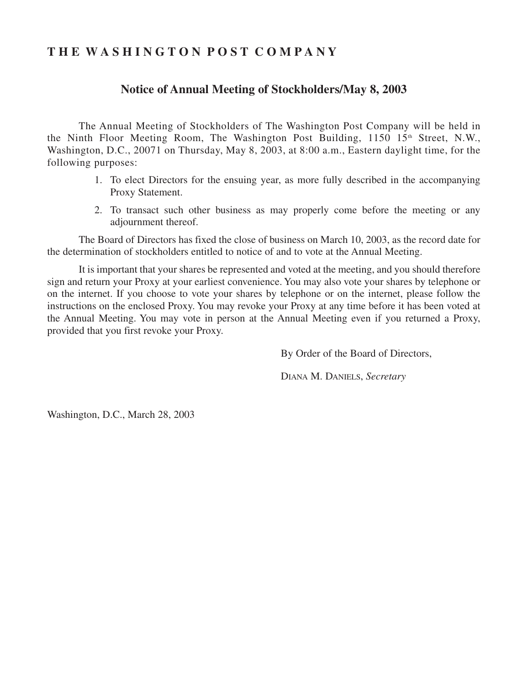# **T H E W A S H I N G T O N P O S T C O M P A N Y**

# **Notice of Annual Meeting of Stockholders/May 8, 2003**

The Annual Meeting of Stockholders of The Washington Post Company will be held in the Ninth Floor Meeting Room, The Washington Post Building,  $1150 \, 15$ <sup>th</sup> Street, N.W., Washington, D.C., 20071 on Thursday, May 8, 2003, at 8:00 a.m., Eastern daylight time, for the following purposes:

- 1. To elect Directors for the ensuing year, as more fully described in the accompanying Proxy Statement.
- 2. To transact such other business as may properly come before the meeting or any adjournment thereof.

The Board of Directors has fixed the close of business on March 10, 2003, as the record date for the determination of stockholders entitled to notice of and to vote at the Annual Meeting.

It is important that your shares be represented and voted at the meeting, and you should therefore sign and return your Proxy at your earliest convenience. You may also vote your shares by telephone or on the internet. If you choose to vote your shares by telephone or on the internet, please follow the instructions on the enclosed Proxy. You may revoke your Proxy at any time before it has been voted at the Annual Meeting. You may vote in person at the Annual Meeting even if you returned a Proxy, provided that you first revoke your Proxy.

By Order of the Board of Directors,

DIANA M. DANIELS, *Secretary*

Washington, D.C., March 28, 2003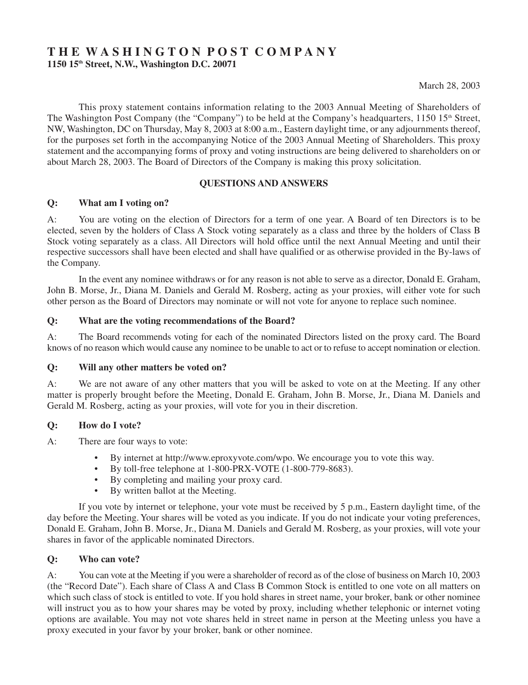# **T H E W A S H I N G T O N P O S T C O M P A N Y 1150 15th Street, N.W., Washington D.C. 20071**

This proxy statement contains information relating to the 2003 Annual Meeting of Shareholders of The Washington Post Company (the "Company") to be held at the Company's headquarters, 1150 15<sup>th</sup> Street, NW, Washington, DC on Thursday, May 8, 2003 at 8:00 a.m., Eastern daylight time, or any adjournments thereof, for the purposes set forth in the accompanying Notice of the 2003 Annual Meeting of Shareholders. This proxy statement and the accompanying forms of proxy and voting instructions are being delivered to shareholders on or about March 28, 2003. The Board of Directors of the Company is making this proxy solicitation.

# **QUESTIONS AND ANSWERS**

# **Q: What am I voting on?**

A: You are voting on the election of Directors for a term of one year. A Board of ten Directors is to be elected, seven by the holders of Class A Stock voting separately as a class and three by the holders of Class B Stock voting separately as a class. All Directors will hold office until the next Annual Meeting and until their respective successors shall have been elected and shall have qualified or as otherwise provided in the By-laws of the Company.

In the event any nominee withdraws or for any reason is not able to serve as a director, Donald E. Graham, John B. Morse, Jr., Diana M. Daniels and Gerald M. Rosberg, acting as your proxies, will either vote for such other person as the Board of Directors may nominate or will not vote for anyone to replace such nominee.

### **Q: What are the voting recommendations of the Board?**

A: The Board recommends voting for each of the nominated Directors listed on the proxy card. The Board knows of no reason which would cause any nominee to be unable to act or to refuse to accept nomination or election.

### **Q: Will any other matters be voted on?**

A: We are not aware of any other matters that you will be asked to vote on at the Meeting. If any other matter is properly brought before the Meeting, Donald E. Graham, John B. Morse, Jr., Diana M. Daniels and Gerald M. Rosberg, acting as your proxies, will vote for you in their discretion.

### **Q: How do I vote?**

- A: There are four ways to vote:
	- By internet at http://www.eproxyvote.com/wpo. We encourage you to vote this way.
	- By toll-free telephone at 1-800-PRX-VOTE (1-800-779-8683).
	- By completing and mailing your proxy card.<br>• By written ballot at the Meeting
	- By written ballot at the Meeting.

If you vote by internet or telephone, your vote must be received by 5 p.m., Eastern daylight time, of the day before the Meeting. Your shares will be voted as you indicate. If you do not indicate your voting preferences, Donald E. Graham, John B. Morse, Jr., Diana M. Daniels and Gerald M. Rosberg, as your proxies, will vote your shares in favor of the applicable nominated Directors.

### **Q: Who can vote?**

A: You can vote at the Meeting if you were a shareholder of record as of the close of business on March 10, 2003 (the "Record Date"). Each share of Class A and Class B Common Stock is entitled to one vote on all matters on which such class of stock is entitled to vote. If you hold shares in street name, your broker, bank or other nominee will instruct you as to how your shares may be voted by proxy, including whether telephonic or internet voting options are available. You may not vote shares held in street name in person at the Meeting unless you have a proxy executed in your favor by your broker, bank or other nominee.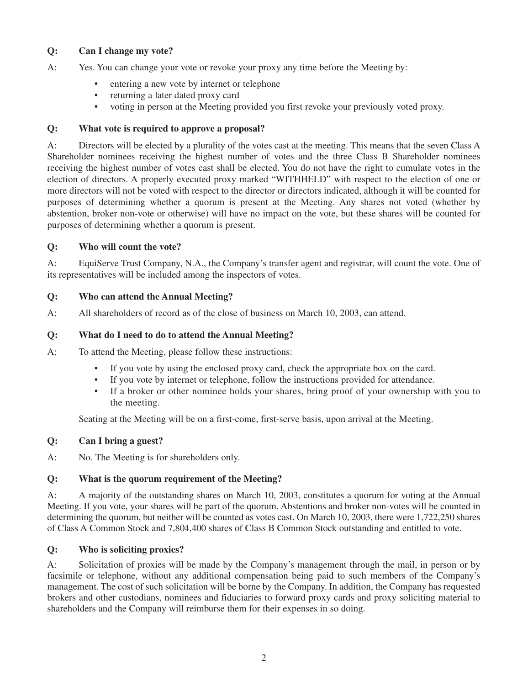# **Q: Can I change my vote?**

- A: Yes. You can change your vote or revoke your proxy any time before the Meeting by:
	- entering a new vote by internet or telephone
	- returning a later dated proxy card
	- voting in person at the Meeting provided you first revoke your previously voted proxy.

### **Q: What vote is required to approve a proposal?**

A: Directors will be elected by a plurality of the votes cast at the meeting. This means that the seven Class A Shareholder nominees receiving the highest number of votes and the three Class B Shareholder nominees receiving the highest number of votes cast shall be elected. You do not have the right to cumulate votes in the election of directors. A properly executed proxy marked "WITHHELD" with respect to the election of one or more directors will not be voted with respect to the director or directors indicated, although it will be counted for purposes of determining whether a quorum is present at the Meeting. Any shares not voted (whether by abstention, broker non-vote or otherwise) will have no impact on the vote, but these shares will be counted for purposes of determining whether a quorum is present.

### **Q: Who will count the vote?**

A: EquiServe Trust Company, N.A., the Company's transfer agent and registrar, will count the vote. One of its representatives will be included among the inspectors of votes.

# **Q: Who can attend the Annual Meeting?**

A: All shareholders of record as of the close of business on March 10, 2003, can attend.

# **Q: What do I need to do to attend the Annual Meeting?**

A: To attend the Meeting, please follow these instructions:

- If you vote by using the enclosed proxy card, check the appropriate box on the card.
- If you vote by internet or telephone, follow the instructions provided for attendance.
- If a broker or other nominee holds your shares, bring proof of your ownership with you to the meeting.

Seating at the Meeting will be on a first-come, first-serve basis, upon arrival at the Meeting.

### **Q: Can I bring a guest?**

A: No. The Meeting is for shareholders only.

# **Q: What is the quorum requirement of the Meeting?**

A: A majority of the outstanding shares on March 10, 2003, constitutes a quorum for voting at the Annual Meeting. If you vote, your shares will be part of the quorum. Abstentions and broker non-votes will be counted in determining the quorum, but neither will be counted as votes cast. On March 10, 2003, there were 1,722,250 shares of Class A Common Stock and 7,804,400 shares of Class B Common Stock outstanding and entitled to vote.

### **Q: Who is soliciting proxies?**

A: Solicitation of proxies will be made by the Company's management through the mail, in person or by facsimile or telephone, without any additional compensation being paid to such members of the Company's management. The cost of such solicitation will be borne by the Company. In addition, the Company has requested brokers and other custodians, nominees and fiduciaries to forward proxy cards and proxy soliciting material to shareholders and the Company will reimburse them for their expenses in so doing.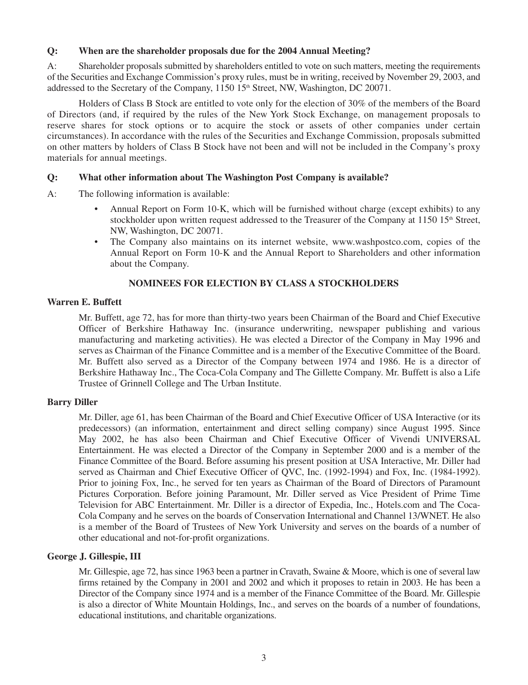### **Q: When are the shareholder proposals due for the 2004 Annual Meeting?**

A: Shareholder proposals submitted by shareholders entitled to vote on such matters, meeting the requirements of the Securities and Exchange Commission's proxy rules, must be in writing, received by November 29, 2003, and addressed to the Secretary of the Company, 1150 15<sup>th</sup> Street, NW, Washington, DC 20071.

Holders of Class B Stock are entitled to vote only for the election of 30% of the members of the Board of Directors (and, if required by the rules of the New York Stock Exchange, on management proposals to reserve shares for stock options or to acquire the stock or assets of other companies under certain circumstances). In accordance with the rules of the Securities and Exchange Commission, proposals submitted on other matters by holders of Class B Stock have not been and will not be included in the Company's proxy materials for annual meetings.

### **Q: What other information about The Washington Post Company is available?**

- A: The following information is available:
	- Annual Report on Form 10-K, which will be furnished without charge (except exhibits) to any stockholder upon written request addressed to the Treasurer of the Company at  $1150$  15<sup>th</sup> Street, NW, Washington, DC 20071.
	- The Company also maintains on its internet website, www.washpostco.com, copies of the Annual Report on Form 10-K and the Annual Report to Shareholders and other information about the Company.

# **NOMINEES FOR ELECTION BY CLASS A STOCKHOLDERS**

### **Warren E. Buffett**

Mr. Buffett, age 72, has for more than thirty-two years been Chairman of the Board and Chief Executive Officer of Berkshire Hathaway Inc. (insurance underwriting, newspaper publishing and various manufacturing and marketing activities). He was elected a Director of the Company in May 1996 and serves as Chairman of the Finance Committee and is a member of the Executive Committee of the Board. Mr. Buffett also served as a Director of the Company between 1974 and 1986. He is a director of Berkshire Hathaway Inc., The Coca-Cola Company and The Gillette Company. Mr. Buffett is also a Life Trustee of Grinnell College and The Urban Institute.

### **Barry Diller**

Mr. Diller, age 61, has been Chairman of the Board and Chief Executive Officer of USA Interactive (or its predecessors) (an information, entertainment and direct selling company) since August 1995. Since May 2002, he has also been Chairman and Chief Executive Officer of Vivendi UNIVERSAL Entertainment. He was elected a Director of the Company in September 2000 and is a member of the Finance Committee of the Board. Before assuming his present position at USA Interactive, Mr. Diller had served as Chairman and Chief Executive Officer of QVC, Inc. (1992-1994) and Fox, Inc. (1984-1992). Prior to joining Fox, Inc., he served for ten years as Chairman of the Board of Directors of Paramount Pictures Corporation. Before joining Paramount, Mr. Diller served as Vice President of Prime Time Television for ABC Entertainment. Mr. Diller is a director of Expedia, Inc., Hotels.com and The Coca-Cola Company and he serves on the boards of Conservation International and Channel 13/WNET. He also is a member of the Board of Trustees of New York University and serves on the boards of a number of other educational and not-for-profit organizations.

### **George J. Gillespie, III**

Mr. Gillespie, age 72, has since 1963 been a partner in Cravath, Swaine & Moore, which is one of several law firms retained by the Company in 2001 and 2002 and which it proposes to retain in 2003. He has been a Director of the Company since 1974 and is a member of the Finance Committee of the Board. Mr. Gillespie is also a director of White Mountain Holdings, Inc., and serves on the boards of a number of foundations, educational institutions, and charitable organizations.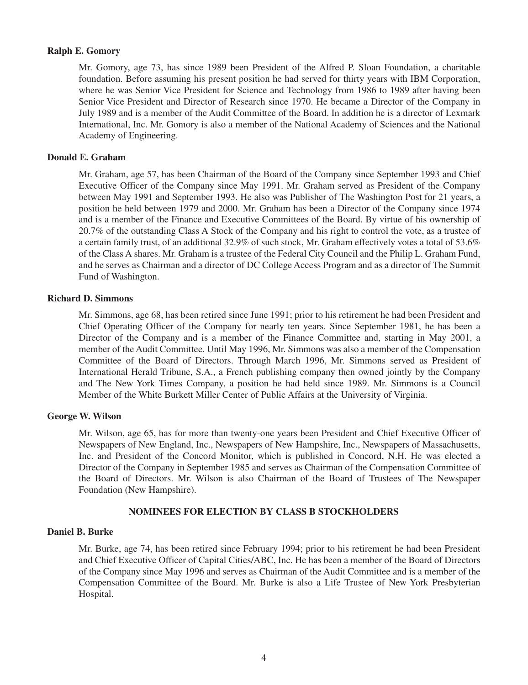### **Ralph E. Gomory**

Mr. Gomory, age 73, has since 1989 been President of the Alfred P. Sloan Foundation, a charitable foundation. Before assuming his present position he had served for thirty years with IBM Corporation, where he was Senior Vice President for Science and Technology from 1986 to 1989 after having been Senior Vice President and Director of Research since 1970. He became a Director of the Company in July 1989 and is a member of the Audit Committee of the Board. In addition he is a director of Lexmark International, Inc. Mr. Gomory is also a member of the National Academy of Sciences and the National Academy of Engineering.

### **Donald E. Graham**

Mr. Graham, age 57, has been Chairman of the Board of the Company since September 1993 and Chief Executive Officer of the Company since May 1991. Mr. Graham served as President of the Company between May 1991 and September 1993. He also was Publisher of The Washington Post for 21 years, a position he held between 1979 and 2000. Mr. Graham has been a Director of the Company since 1974 and is a member of the Finance and Executive Committees of the Board. By virtue of his ownership of 20.7% of the outstanding Class A Stock of the Company and his right to control the vote, as a trustee of a certain family trust, of an additional 32.9% of such stock, Mr. Graham effectively votes a total of 53.6% of the Class A shares. Mr. Graham is a trustee of the Federal City Council and the Philip L. Graham Fund, and he serves as Chairman and a director of DC College Access Program and as a director of The Summit Fund of Washington.

### **Richard D. Simmons**

Mr. Simmons, age 68, has been retired since June 1991; prior to his retirement he had been President and Chief Operating Officer of the Company for nearly ten years. Since September 1981, he has been a Director of the Company and is a member of the Finance Committee and, starting in May 2001, a member of the Audit Committee. Until May 1996, Mr. Simmons was also a member of the Compensation Committee of the Board of Directors. Through March 1996, Mr. Simmons served as President of International Herald Tribune, S.A., a French publishing company then owned jointly by the Company and The New York Times Company, a position he had held since 1989. Mr. Simmons is a Council Member of the White Burkett Miller Center of Public Affairs at the University of Virginia.

### **George W. Wilson**

Mr. Wilson, age 65, has for more than twenty-one years been President and Chief Executive Officer of Newspapers of New England, Inc., Newspapers of New Hampshire, Inc., Newspapers of Massachusetts, Inc. and President of the Concord Monitor, which is published in Concord, N.H. He was elected a Director of the Company in September 1985 and serves as Chairman of the Compensation Committee of the Board of Directors. Mr. Wilson is also Chairman of the Board of Trustees of The Newspaper Foundation (New Hampshire).

### **NOMINEES FOR ELECTION BY CLASS B STOCKHOLDERS**

### **Daniel B. Burke**

Mr. Burke, age 74, has been retired since February 1994; prior to his retirement he had been President and Chief Executive Officer of Capital Cities/ABC, Inc. He has been a member of the Board of Directors of the Company since May 1996 and serves as Chairman of the Audit Committee and is a member of the Compensation Committee of the Board. Mr. Burke is also a Life Trustee of New York Presbyterian Hospital.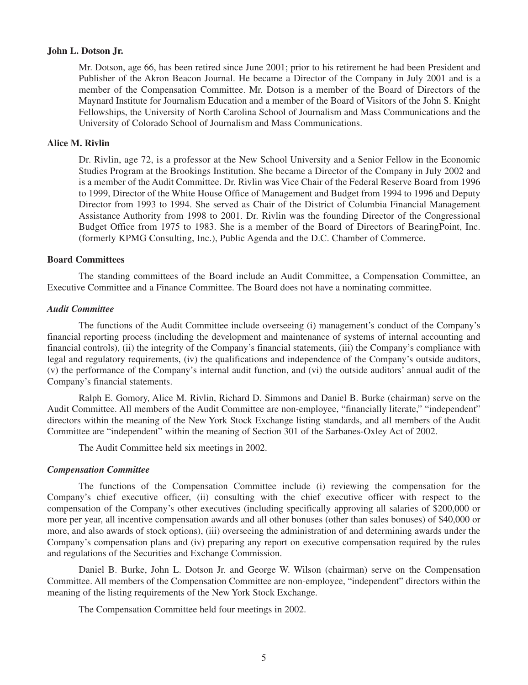#### **John L. Dotson Jr.**

Mr. Dotson, age 66, has been retired since June 2001; prior to his retirement he had been President and Publisher of the Akron Beacon Journal. He became a Director of the Company in July 2001 and is a member of the Compensation Committee. Mr. Dotson is a member of the Board of Directors of the Maynard Institute for Journalism Education and a member of the Board of Visitors of the John S. Knight Fellowships, the University of North Carolina School of Journalism and Mass Communications and the University of Colorado School of Journalism and Mass Communications.

### **Alice M. Rivlin**

Dr. Rivlin, age 72, is a professor at the New School University and a Senior Fellow in the Economic Studies Program at the Brookings Institution. She became a Director of the Company in July 2002 and is a member of the Audit Committee. Dr. Rivlin was Vice Chair of the Federal Reserve Board from 1996 to 1999, Director of the White House Office of Management and Budget from 1994 to 1996 and Deputy Director from 1993 to 1994. She served as Chair of the District of Columbia Financial Management Assistance Authority from 1998 to 2001. Dr. Rivlin was the founding Director of the Congressional Budget Office from 1975 to 1983. She is a member of the Board of Directors of BearingPoint, Inc. (formerly KPMG Consulting, Inc.), Public Agenda and the D.C. Chamber of Commerce.

### **Board Committees**

The standing committees of the Board include an Audit Committee, a Compensation Committee, an Executive Committee and a Finance Committee. The Board does not have a nominating committee.

#### *Audit Committee*

The functions of the Audit Committee include overseeing (i) management's conduct of the Company's financial reporting process (including the development and maintenance of systems of internal accounting and financial controls), (ii) the integrity of the Company's financial statements, (iii) the Company's compliance with legal and regulatory requirements, (iv) the qualifications and independence of the Company's outside auditors, (v) the performance of the Company's internal audit function, and (vi) the outside auditors' annual audit of the Company's financial statements.

Ralph E. Gomory, Alice M. Rivlin, Richard D. Simmons and Daniel B. Burke (chairman) serve on the Audit Committee. All members of the Audit Committee are non-employee, "financially literate," "independent" directors within the meaning of the New York Stock Exchange listing standards, and all members of the Audit Committee are "independent" within the meaning of Section 301 of the Sarbanes-Oxley Act of 2002.

The Audit Committee held six meetings in 2002.

#### *Compensation Committee*

The functions of the Compensation Committee include (i) reviewing the compensation for the Company's chief executive officer, (ii) consulting with the chief executive officer with respect to the compensation of the Company's other executives (including specifically approving all salaries of \$200,000 or more per year, all incentive compensation awards and all other bonuses (other than sales bonuses) of \$40,000 or more, and also awards of stock options), (iii) overseeing the administration of and determining awards under the Company's compensation plans and (iv) preparing any report on executive compensation required by the rules and regulations of the Securities and Exchange Commission.

Daniel B. Burke, John L. Dotson Jr. and George W. Wilson (chairman) serve on the Compensation Committee. All members of the Compensation Committee are non-employee, "independent" directors within the meaning of the listing requirements of the New York Stock Exchange.

The Compensation Committee held four meetings in 2002.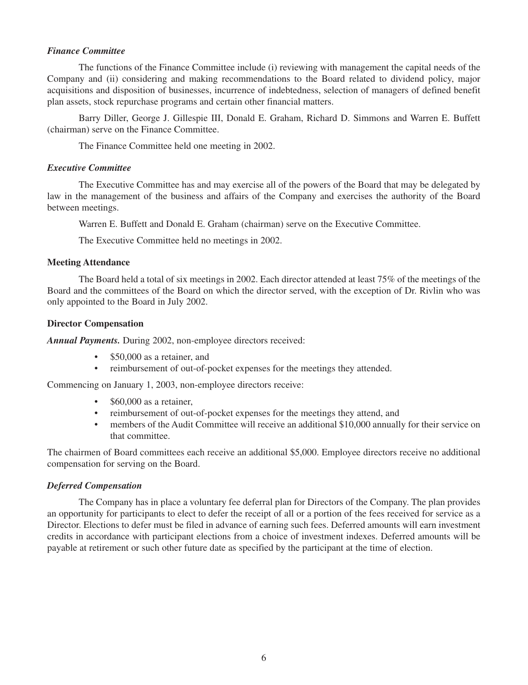### *Finance Committee*

The functions of the Finance Committee include (i) reviewing with management the capital needs of the Company and (ii) considering and making recommendations to the Board related to dividend policy, major acquisitions and disposition of businesses, incurrence of indebtedness, selection of managers of defined benefit plan assets, stock repurchase programs and certain other financial matters.

Barry Diller, George J. Gillespie III, Donald E. Graham, Richard D. Simmons and Warren E. Buffett (chairman) serve on the Finance Committee.

The Finance Committee held one meeting in 2002.

### *Executive Committee*

The Executive Committee has and may exercise all of the powers of the Board that may be delegated by law in the management of the business and affairs of the Company and exercises the authority of the Board between meetings.

Warren E. Buffett and Donald E. Graham (chairman) serve on the Executive Committee.

The Executive Committee held no meetings in 2002.

### **Meeting Attendance**

The Board held a total of six meetings in 2002. Each director attended at least 75% of the meetings of the Board and the committees of the Board on which the director served, with the exception of Dr. Rivlin who was only appointed to the Board in July 2002.

### **Director Compensation**

*Annual Payments.* During 2002, non-employee directors received:

- \$50,000 as a retainer, and
- reimbursement of out-of-pocket expenses for the meetings they attended.

Commencing on January 1, 2003, non-employee directors receive:

- \$60,000 as a retainer.
- reimbursement of out-of-pocket expenses for the meetings they attend, and
- members of the Audit Committee will receive an additional \$10,000 annually for their service on that committee.

The chairmen of Board committees each receive an additional \$5,000. Employee directors receive no additional compensation for serving on the Board.

### *Deferred Compensation*

The Company has in place a voluntary fee deferral plan for Directors of the Company. The plan provides an opportunity for participants to elect to defer the receipt of all or a portion of the fees received for service as a Director. Elections to defer must be filed in advance of earning such fees. Deferred amounts will earn investment credits in accordance with participant elections from a choice of investment indexes. Deferred amounts will be payable at retirement or such other future date as specified by the participant at the time of election.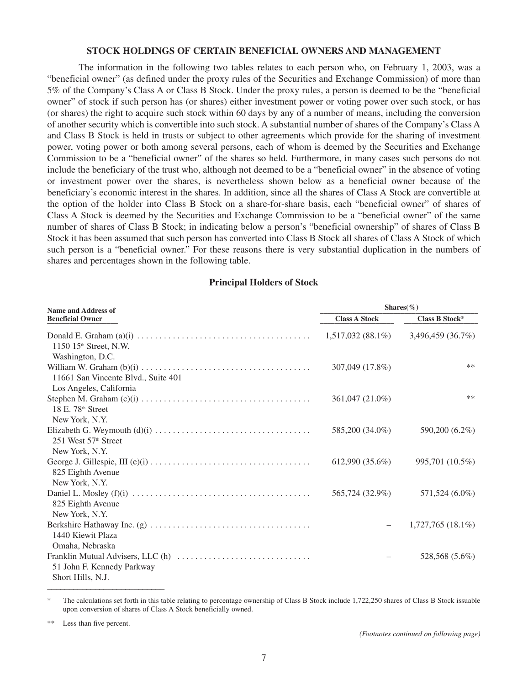#### **STOCK HOLDINGS OF CERTAIN BENEFICIAL OWNERS AND MANAGEMENT**

The information in the following two tables relates to each person who, on February 1, 2003, was a "beneficial owner" (as defined under the proxy rules of the Securities and Exchange Commission) of more than 5% of the Company's Class A or Class B Stock. Under the proxy rules, a person is deemed to be the "beneficial owner" of stock if such person has (or shares) either investment power or voting power over such stock, or has (or shares) the right to acquire such stock within 60 days by any of a number of means, including the conversion of another security which is convertible into such stock. A substantial number of shares of the Company's Class A and Class B Stock is held in trusts or subject to other agreements which provide for the sharing of investment power, voting power or both among several persons, each of whom is deemed by the Securities and Exchange Commission to be a "beneficial owner" of the shares so held. Furthermore, in many cases such persons do not include the beneficiary of the trust who, although not deemed to be a "beneficial owner" in the absence of voting or investment power over the shares, is nevertheless shown below as a beneficial owner because of the beneficiary's economic interest in the shares. In addition, since all the shares of Class A Stock are convertible at the option of the holder into Class B Stock on a share-for-share basis, each "beneficial owner" of shares of Class A Stock is deemed by the Securities and Exchange Commission to be a "beneficial owner" of the same number of shares of Class B Stock; in indicating below a person's "beneficial ownership" of shares of Class B Stock it has been assumed that such person has converted into Class B Stock all shares of Class A Stock of which such person is a "beneficial owner." For these reasons there is very substantial duplication in the numbers of shares and percentages shown in the following table.

### **Principal Holders of Stock**

| <b>Name and Address of</b>          | Shares $(\%)$        |                     |  |  |
|-------------------------------------|----------------------|---------------------|--|--|
| <b>Beneficial Owner</b>             | <b>Class A Stock</b> | Class B Stock*      |  |  |
| 1150 $15th$ Street, N.W.            | $1,517,032(88.1\%)$  | 3,496,459(36.7%)    |  |  |
| Washington, D.C.                    |                      |                     |  |  |
| 11661 San Vincente Blvd., Suite 401 | 307,049 (17.8%)      | $***$               |  |  |
| Los Angeles, California             |                      |                     |  |  |
| 18 E. 78 <sup>th</sup> Street       | 361,047 (21.0%)      | $***$               |  |  |
| New York, N.Y.                      |                      |                     |  |  |
| 251 West 57 <sup>th</sup> Street    | 585,200 (34.0%)      | 590,200 (6.2%)      |  |  |
| New York, N.Y.                      |                      |                     |  |  |
| 825 Eighth Avenue                   | $612,990(35.6\%)$    | 995,701 (10.5%)     |  |  |
| New York, N.Y.                      |                      |                     |  |  |
| 825 Eighth Avenue                   | 565,724 (32.9%)      | 571,524 (6.0%)      |  |  |
| New York, N.Y.                      |                      |                     |  |  |
| 1440 Kiewit Plaza                   |                      | $1,727,765(18.1\%)$ |  |  |
| Omaha, Nebraska                     |                      |                     |  |  |
| 51 John F. Kennedy Parkway          |                      | 528,568 (5.6%)      |  |  |
| Short Hills, N.J.                   |                      |                     |  |  |

The calculations set forth in this table relating to percentage ownership of Class B Stock include 1,722,250 shares of Class B Stock issuable upon conversion of shares of Class A Stock beneficially owned.

Less than five percent.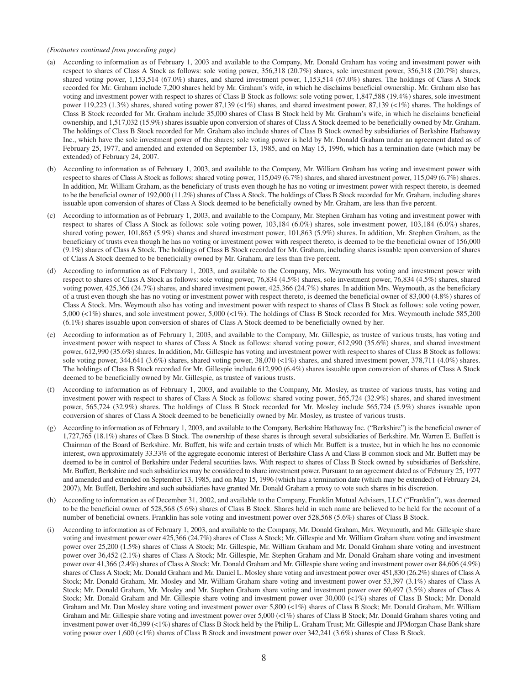#### *(Footnotes continued from preceding page)*

- (a) According to information as of February 1, 2003 and available to the Company, Mr. Donald Graham has voting and investment power with respect to shares of Class A Stock as follows: sole voting power, 356,318 (20.7%) shares, sole investment power, 356,318 (20.7%) shares, shared voting power, 1,153,514 (67.0%) shares, and shared investment power, 1,153,514 (67.0%) shares. The holdings of Class A Stock recorded for Mr. Graham include 7,200 shares held by Mr. Graham's wife, in which he disclaims beneficial ownership. Mr. Graham also has voting and investment power with respect to shares of Class B Stock as follows: sole voting power, 1,847,588 (19.4%) shares, sole investment power 119,223 (1.3%) shares, shared voting power 87,139 (<1%) shares, and shared investment power, 87,139 (<1%) shares. The holdings of Class B Stock recorded for Mr. Graham include 35,000 shares of Class B Stock held by Mr. Graham's wife, in which he disclaims beneficial ownership, and 1,517,032 (15.9%) shares issuable upon conversion of shares of Class A Stock deemed to be beneficially owned by Mr. Graham. The holdings of Class B Stock recorded for Mr. Graham also include shares of Class B Stock owned by subsidiaries of Berkshire Hathaway Inc., which have the sole investment power of the shares; sole voting power is held by Mr. Donald Graham under an agreement dated as of February 25, 1977, and amended and extended on September 13, 1985, and on May 15, 1996, which has a termination date (which may be extended) of February 24, 2007.
- (b) According to information as of February 1, 2003, and available to the Company, Mr. William Graham has voting and investment power with respect to shares of Class A Stock as follows: shared voting power, 115,049 (6.7%) shares, and shared investment power, 115,049 (6.7%) shares. In addition, Mr. William Graham, as the beneficiary of trusts even though he has no voting or investment power with respect thereto, is deemed to be the beneficial owner of 192,000 (11.2%) shares of Class A Stock. The holdings of Class B Stock recorded for Mr. Graham, including shares issuable upon conversion of shares of Class A Stock deemed to be beneficially owned by Mr. Graham, are less than five percent.
- (c) According to information as of February 1, 2003, and available to the Company, Mr. Stephen Graham has voting and investment power with respect to shares of Class A Stock as follows: sole voting power, 103,184 (6.0%) shares, sole investment power, 103,184 (6.0%) shares, shared voting power, 101,863 (5.9%) shares and shared investment power, 101,863 (5.9%) shares. In addition, Mr. Stephen Graham, as the beneficiary of trusts even though he has no voting or investment power with respect thereto, is deemed to be the beneficial owner of 156,000 (9.1%) shares of Class A Stock. The holdings of Class B Stock recorded for Mr. Graham, including shares issuable upon conversion of shares of Class A Stock deemed to be beneficially owned by Mr. Graham, are less than five percent.
- (d) According to information as of February 1, 2003, and available to the Company, Mrs. Weymouth has voting and investment power with respect to shares of Class A Stock as follows: sole voting power, 76,834 (4.5%) shares, sole investment power, 76,834 (4.5%) shares, shared voting power, 425,366 (24.7%) shares, and shared investment power, 425,366 (24.7%) shares. In addition Mrs. Weymouth, as the beneficiary of a trust even though she has no voting or investment power with respect thereto, is deemed the beneficial owner of 83,000 (4.8%) shares of Class A Stock. Mrs. Weymouth also has voting and investment power with respect to shares of Class B Stock as follows: sole voting power, 5,000 (<1%) shares, and sole investment power, 5,000 (<1%). The holdings of Class B Stock recorded for Mrs. Weymouth include 585,200 (6.1%) shares issuable upon conversion of shares of Class A Stock deemed to be beneficially owned by her.
- (e) According to information as of February 1, 2003, and available to the Company, Mr. Gillespie, as trustee of various trusts, has voting and investment power with respect to shares of Class A Stock as follows: shared voting power, 612,990 (35.6%) shares, and shared investment power, 612,990 (35.6%) shares. In addition, Mr. Gillespie has voting and investment power with respect to shares of Class B Stock as follows: sole voting power, 344,641 (3.6%) shares, shared voting power, 38,070 (<1%) shares, and shared investment power, 378,711 (4.0%) shares. The holdings of Class B Stock recorded for Mr. Gillespie include 612,990 (6.4%) shares issuable upon conversion of shares of Class A Stock deemed to be beneficially owned by Mr. Gillespie, as trustee of various trusts.
- (f) According to information as of February 1, 2003, and available to the Company, Mr. Mosley, as trustee of various trusts, has voting and investment power with respect to shares of Class A Stock as follows: shared voting power, 565,724 (32.9%) shares, and shared investment power, 565,724 (32.9%) shares. The holdings of Class B Stock recorded for Mr. Mosley include 565,724 (5.9%) shares issuable upon conversion of shares of Class A Stock deemed to be beneficially owned by Mr. Mosley, as trustee of various trusts.
- (g) According to information as of February 1, 2003, and available to the Company, Berkshire Hathaway Inc. ("Berkshire") is the beneficial owner of 1,727,765 (18.1%) shares of Class B Stock. The ownership of these shares is through several subsidiaries of Berkshire. Mr. Warren E. Buffett is Chairman of the Board of Berkshire. Mr. Buffett, his wife and certain trusts of which Mr. Buffett is a trustee, but in which he has no economic interest, own approximately 33.33% of the aggregate economic interest of Berkshire Class A and Class B common stock and Mr. Buffett may be deemed to be in control of Berkshire under Federal securities laws. With respect to shares of Class B Stock owned by subsidiaries of Berkshire, Mr. Buffett, Berkshire and such subsidiaries may be considered to share investment power. Pursuant to an agreement dated as of February 25, 1977 and amended and extended on September 13, 1985, and on May 15, 1996 (which has a termination date (which may be extended) of February 24, 2007), Mr. Buffett, Berkshire and such subsidiaries have granted Mr. Donald Graham a proxy to vote such shares in his discretion.
- (h) According to information as of December 31, 2002, and available to the Company, Franklin Mutual Advisers, LLC ("Franklin"), was deemed to be the beneficial owner of 528,568 (5.6%) shares of Class B Stock. Shares held in such name are believed to be held for the account of a number of beneficial owners. Franklin has sole voting and investment power over 528,568 (5.6%) shares of Class B Stock.
- (i) According to information as of February 1, 2003, and available to the Company, Mr. Donald Graham, Mrs. Weymouth, and Mr. Gillespie share voting and investment power over 425,366 (24.7%) shares of Class A Stock; Mr. Gillespie and Mr. William Graham share voting and investment power over 25,200 (1.5%) shares of Class A Stock; Mr. Gillespie, Mr. William Graham and Mr. Donald Graham share voting and investment power over 36,452 (2.1%) shares of Class A Stock; Mr. Gillespie, Mr. Stephen Graham and Mr. Donald Graham share voting and investment power over 41,366 (2.4%) shares of Class A Stock; Mr. Donald Graham and Mr. Gillespie share voting and investment power over 84,606 (4.9%) shares of Class A Stock; Mr. Donald Graham and Mr. Daniel L. Mosley share voting and investment power over 451,830 (26.2%) shares of Class A Stock; Mr. Donald Graham, Mr. Mosley and Mr. William Graham share voting and investment power over 53,397 (3.1%) shares of Class A Stock; Mr. Donald Graham, Mr. Mosley and Mr. Stephen Graham share voting and investment power over 60,497 (3.5%) shares of Class A Stock; Mr. Donald Graham and Mr. Gillespie share voting and investment power over 30,000 (<1%) shares of Class B Stock; Mr. Donald Graham and Mr. Dan Mosley share voting and investment power over 5,800 (<1%) shares of Class B Stock; Mr. Donald Graham, Mr. William Graham and Mr. Gillespie share voting and investment power over 5,000 (<1%) shares of Class B Stock; Mr. Donald Graham shares voting and investment power over 46,399 (<1%) shares of Class B Stock held by the Philip L. Graham Trust; Mr. Gillespie and JPMorgan Chase Bank share voting power over 1,600 (<1%) shares of Class B Stock and investment power over 342,241 (3.6%) shares of Class B Stock.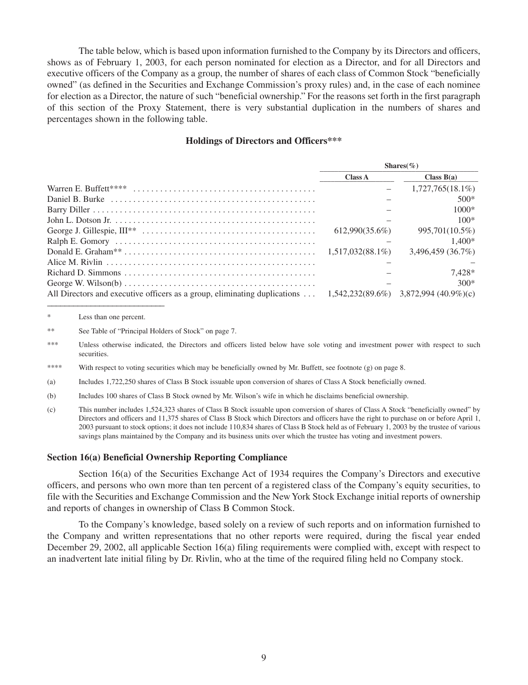The table below, which is based upon information furnished to the Company by its Directors and officers, shows as of February 1, 2003, for each person nominated for election as a Director, and for all Directors and executive officers of the Company as a group, the number of shares of each class of Common Stock "beneficially owned" (as defined in the Securities and Exchange Commission's proxy rules) and, in the case of each nominee for election as a Director, the nature of such "beneficial ownership." For the reasons set forth in the first paragraph of this section of the Proxy Statement, there is very substantial duplication in the numbers of shares and percentages shown in the following table.

#### **Holdings of Directors and Officers\*\*\***

|                                                                                                                      |                     | Shares $(\%)$       |
|----------------------------------------------------------------------------------------------------------------------|---------------------|---------------------|
|                                                                                                                      | <b>Class A</b>      | Class $B(a)$        |
|                                                                                                                      |                     | $1,727,765(18.1\%)$ |
|                                                                                                                      |                     | $500*$              |
|                                                                                                                      |                     | $1000*$             |
| John L. Dotson Jr. $\dots \dots \dots \dots \dots \dots \dots \dots \dots \dots \dots \dots \dots \dots \dots \dots$ |                     | $100*$              |
|                                                                                                                      | 612.990(35.6%)      | 995,701(10.5%)      |
|                                                                                                                      |                     | $1.400*$            |
|                                                                                                                      | $1.517.032(88.1\%)$ | 3.496.459(36.7%)    |
|                                                                                                                      |                     |                     |
|                                                                                                                      |                     | $7.428*$            |
| George W. Wilson(b) $\dots \dots \dots \dots \dots \dots \dots \dots \dots \dots \dots \dots \dots \dots$            |                     | $300*$              |
| All Directors and executive officers as a group, eliminating duplications $1,542,232(89.6\%)$ 3,872,994 (40.9%)(c)   |                     |                     |

<sup>\*</sup> Less than one percent.

- \*\*\*\* With respect to voting securities which may be beneficially owned by Mr. Buffett, see footnote (g) on page 8.
- (a) Includes 1,722,250 shares of Class B Stock issuable upon conversion of shares of Class A Stock beneficially owned.
- (b) Includes 100 shares of Class B Stock owned by Mr. Wilson's wife in which he disclaims beneficial ownership.
- (c) This number includes 1,524,323 shares of Class B Stock issuable upon conversion of shares of Class A Stock "beneficially owned" by Directors and officers and 11,375 shares of Class B Stock which Directors and officers have the right to purchase on or before April 1, 2003 pursuant to stock options; it does not include 110,834 shares of Class B Stock held as of February 1, 2003 by the trustee of various savings plans maintained by the Company and its business units over which the trustee has voting and investment powers.

#### **Section 16(a) Beneficial Ownership Reporting Compliance**

Section 16(a) of the Securities Exchange Act of 1934 requires the Company's Directors and executive officers, and persons who own more than ten percent of a registered class of the Company's equity securities, to file with the Securities and Exchange Commission and the New York Stock Exchange initial reports of ownership and reports of changes in ownership of Class B Common Stock.

To the Company's knowledge, based solely on a review of such reports and on information furnished to the Company and written representations that no other reports were required, during the fiscal year ended December 29, 2002, all applicable Section 16(a) filing requirements were complied with, except with respect to an inadvertent late initial filing by Dr. Rivlin, who at the time of the required filing held no Company stock.

<sup>\*\*</sup> See Table of "Principal Holders of Stock" on page 7.

<sup>\*\*\*</sup> Unless otherwise indicated, the Directors and officers listed below have sole voting and investment power with respect to such securities.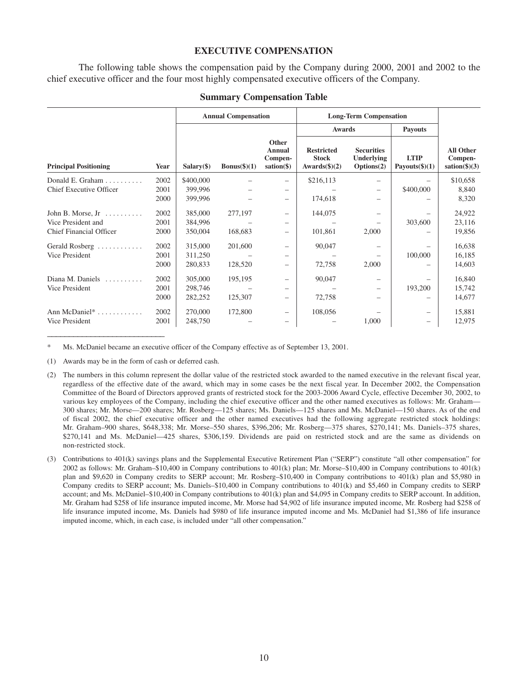#### **EXECUTIVE COMPENSATION**

The following table shows the compensation paid by the Company during 2000, 2001 and 2002 to the chief executive officer and the four most highly compensated executive officers of the Company.

|                                    |      |              | <b>Annual Compensation</b> |                                                           |                                                             | <b>Long-Term Compensation</b>                        |                                  |                                                          |
|------------------------------------|------|--------------|----------------------------|-----------------------------------------------------------|-------------------------------------------------------------|------------------------------------------------------|----------------------------------|----------------------------------------------------------|
|                                    |      |              |                            |                                                           | <b>Awards</b>                                               |                                                      | <b>Payouts</b>                   |                                                          |
| <b>Principal Positioning</b>       | Year | $Salary(\$)$ | Bonus $(\$)(1)$            | Other<br><b>Annual</b><br>Compen-<br>$sation(\text{$\$})$ | <b>Restricted</b><br><b>Stock</b><br>Awards $(\frac{6}{2})$ | <b>Securities</b><br><b>Underlying</b><br>Options(2) | <b>LTIP</b><br>Payouts $(\$)(1)$ | <b>All Other</b><br>Compen-<br>$sation(\textbf{$\$})(3)$ |
| Donald E. Graham $\ldots$          | 2002 | \$400,000    |                            |                                                           | \$216,113                                                   |                                                      |                                  | \$10,658                                                 |
| Chief Executive Officer            | 2001 | 399,996      |                            |                                                           |                                                             |                                                      | \$400,000                        | 8,840                                                    |
|                                    | 2000 | 399,996      |                            | $\overline{\phantom{0}}$                                  | 174,618                                                     |                                                      |                                  | 8,320                                                    |
| John B. Morse, $Jr$                | 2002 | 385,000      | 277,197                    | $\overline{\phantom{0}}$                                  | 144,075                                                     |                                                      |                                  | 24,922                                                   |
| Vice President and                 | 2001 | 384,996      |                            |                                                           |                                                             |                                                      | 303,600                          | 23,116                                                   |
| Chief Financial Officer            | 2000 | 350,004      | 168,683                    | -                                                         | 101,861                                                     | 2,000                                                |                                  | 19,856                                                   |
| Gerald Rosberg                     | 2002 | 315,000      | 201,600                    | -                                                         | 90,047                                                      |                                                      |                                  | 16,638                                                   |
| Vice President                     | 2001 | 311,250      |                            |                                                           |                                                             |                                                      | 100,000                          | 16,185                                                   |
|                                    | 2000 | 280,833      | 128,520                    | -                                                         | 72,758                                                      | 2,000                                                |                                  | 14,603                                                   |
| Diana M. Daniels $\dots\dots\dots$ | 2002 | 305,000      | 195,195                    | -                                                         | 90,047                                                      | -                                                    |                                  | 16,840                                                   |
| Vice President                     | 2001 | 298,746      |                            |                                                           |                                                             |                                                      | 193,200                          | 15,742                                                   |
|                                    | 2000 | 282,252      | 125,307                    | -                                                         | 72,758                                                      | -                                                    |                                  | 14,677                                                   |
| Ann McDaniel*                      | 2002 | 270,000      | 172,800                    | -                                                         | 108,056                                                     |                                                      |                                  | 15,881                                                   |
| Vice President                     | 2001 | 248,750      |                            |                                                           |                                                             | 1,000                                                | -                                | 12,975                                                   |

#### **Summary Compensation Table**

Ms. McDaniel became an executive officer of the Company effective as of September 13, 2001.

(1) Awards may be in the form of cash or deferred cash.

\_\_\_\_\_\_\_\_\_\_\_\_\_\_\_\_\_\_\_\_\_\_\_\_\_\_\_

- (2) The numbers in this column represent the dollar value of the restricted stock awarded to the named executive in the relevant fiscal year, regardless of the effective date of the award, which may in some cases be the next fiscal year. In December 2002, the Compensation Committee of the Board of Directors approved grants of restricted stock for the 2003-2006 Award Cycle, effective December 30, 2002, to various key employees of the Company, including the chief executive officer and the other named executives as follows: Mr. Graham— 300 shares; Mr. Morse—200 shares; Mr. Rosberg—125 shares; Ms. Daniels—125 shares and Ms. McDaniel—150 shares. As of the end of fiscal 2002, the chief executive officer and the other named executives had the following aggregate restricted stock holdings: Mr. Graham–900 shares, \$648,338; Mr. Morse–550 shares, \$396,206; Mr. Rosberg—375 shares, \$270,141; Ms. Daniels–375 shares, \$270,141 and Ms. McDaniel—425 shares, \$306,159. Dividends are paid on restricted stock and are the same as dividends on non-restricted stock.
- (3) Contributions to 401(k) savings plans and the Supplemental Executive Retirement Plan ("SERP") constitute "all other compensation" for 2002 as follows: Mr. Graham–\$10,400 in Company contributions to 401(k) plan; Mr. Morse–\$10,400 in Company contributions to 401(k) plan and \$9,620 in Company credits to SERP account; Mr. Rosberg–\$10,400 in Company contributions to 401(k) plan and \$5,980 in Company credits to SERP account; Ms. Daniels–\$10,400 in Company contributions to 401(k) and \$5,460 in Company credits to SERP account; and Ms. McDaniel–\$10,400 in Company contributions to 401(k) plan and \$4,095 in Company credits to SERP account. In addition, Mr. Graham had \$258 of life insurance imputed income, Mr. Morse had \$4,902 of life insurance imputed income, Mr. Rosberg had \$258 of life insurance imputed income, Ms. Daniels had \$980 of life insurance imputed income and Ms. McDaniel had \$1,386 of life insurance imputed income, which, in each case, is included under "all other compensation."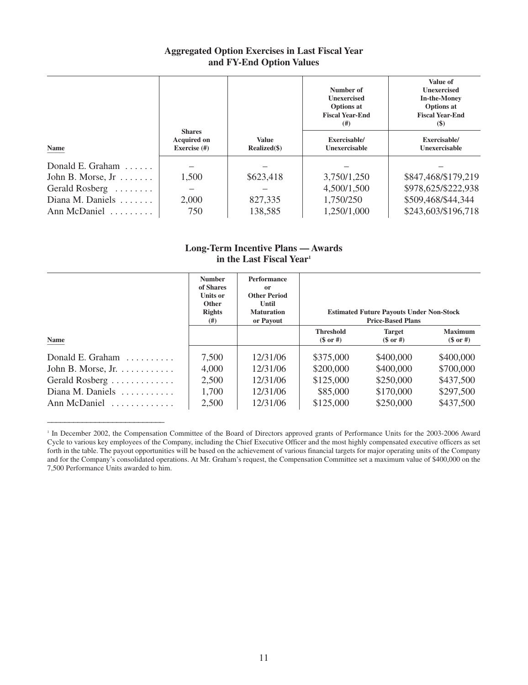# **Aggregated Option Exercises in Last Fiscal Year and FY-End Option Values**

| Name                        | <b>Shares</b><br><b>Acquired on</b><br>Exercise (#) | Value<br>Realized(\$) | Number of<br><b>Unexercised</b><br><b>Options</b> at<br><b>Fiscal Year-End</b><br>(# )<br>Exercisable/<br>Unexercisable | Value of<br><b>Unexercised</b><br><b>In-the-Money</b><br><b>Options</b> at<br><b>Fiscal Year-End</b><br>(S)<br>Exercisable/<br>Unexercisable |
|-----------------------------|-----------------------------------------------------|-----------------------|-------------------------------------------------------------------------------------------------------------------------|----------------------------------------------------------------------------------------------------------------------------------------------|
| Donald E. Graham $\ldots$ . |                                                     |                       |                                                                                                                         |                                                                                                                                              |
| John B. Morse, $Jr$         | 1,500                                               | \$623,418             | 3,750/1,250                                                                                                             | \$847,468/\$179,219                                                                                                                          |
| Gerald Rosberg              |                                                     |                       | 4,500/1,500                                                                                                             | \$978,625/\$222,938                                                                                                                          |
| Diana M. Daniels            | 2,000                                               | 827,335               | 1,750/250                                                                                                               | \$509,468/\$44,344                                                                                                                           |
| Ann McDaniel                | 750                                                 | 138,585               | 1,250/1,000                                                                                                             | \$243,603/\$196,718                                                                                                                          |

# **Long-Term Incentive Plans — Awards in the Last Fiscal Year1**

|                                        | <b>Number</b><br>of Shares<br><b>Units or</b><br><b>Other</b><br><b>Rights</b><br>(#) | <b>Performance</b><br>or<br><b>Other Period</b><br>Until<br><b>Maturation</b><br>or Payout | <b>Estimated Future Payouts Under Non-Stock</b><br><b>Price-Based Plans</b> |                              |                             |
|----------------------------------------|---------------------------------------------------------------------------------------|--------------------------------------------------------------------------------------------|-----------------------------------------------------------------------------|------------------------------|-----------------------------|
| Name                                   |                                                                                       |                                                                                            | <b>Threshold</b><br>$(\$$ or #)                                             | <b>Target</b><br>$(\$$ or #) | <b>Maximum</b><br>$($or\#)$ |
| Donald E. Graham $\ldots \ldots$       | 7,500                                                                                 | 12/31/06                                                                                   | \$375,000                                                                   | \$400,000                    | \$400,000                   |
| John B. Morse, Jr. $\dots \dots \dots$ | 4,000                                                                                 | 12/31/06                                                                                   | \$200,000                                                                   | \$400,000                    | \$700,000                   |
| Gerald Rosberg                         | 2,500                                                                                 | 12/31/06                                                                                   | \$125,000                                                                   | \$250,000                    | \$437,500                   |
| Diana M. Daniels                       | 1,700                                                                                 | 12/31/06                                                                                   | \$85,000                                                                    | \$170,000                    | \$297,500                   |
| Ann McDaniel                           | 2,500                                                                                 | 12/31/06                                                                                   | \$125,000                                                                   | \$250,000                    | \$437,500                   |

<sup>&</sup>lt;sup>1</sup> In December 2002, the Compensation Committee of the Board of Directors approved grants of Performance Units for the 2003-2006 Award Cycle to various key employees of the Company, including the Chief Executive Officer and the most highly compensated executive officers as set forth in the table. The payout opportunities will be based on the achievement of various financial targets for major operating units of the Company and for the Company's consolidated operations. At Mr. Graham's request, the Compensation Committee set a maximum value of \$400,000 on the 7,500 Performance Units awarded to him.

\_\_\_\_\_\_\_\_\_\_\_\_\_\_\_\_\_\_\_\_\_\_\_\_\_\_\_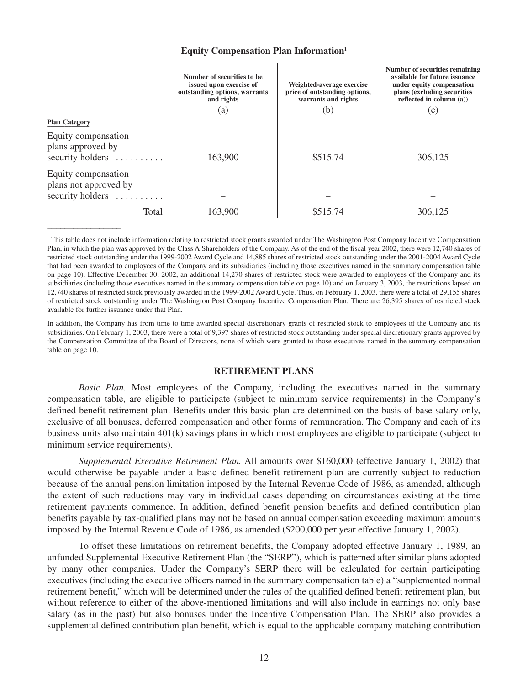|  | <b>Equity Compensation Plan Information1</b> |  |  |
|--|----------------------------------------------|--|--|
|--|----------------------------------------------|--|--|

|                                                                  | Number of securities to be.<br>issued upon exercise of<br>outstanding options, warrants<br>and rights | Weighted-average exercise<br>price of outstanding options,<br>warrants and rights | Number of securities remaining<br>available for future issuance<br>under equity compensation<br>plans (excluding securities<br>reflected in column $(a)$ ) |
|------------------------------------------------------------------|-------------------------------------------------------------------------------------------------------|-----------------------------------------------------------------------------------|------------------------------------------------------------------------------------------------------------------------------------------------------------|
|                                                                  | (a)                                                                                                   | (b)                                                                               | (c)                                                                                                                                                        |
| <b>Plan Category</b>                                             |                                                                                                       |                                                                                   |                                                                                                                                                            |
| Equity compensation<br>plans approved by<br>security holders     | 163,900                                                                                               | \$515.74                                                                          | 306,125                                                                                                                                                    |
| Equity compensation<br>plans not approved by<br>security holders |                                                                                                       |                                                                                   |                                                                                                                                                            |
| Total                                                            | 163,900                                                                                               | \$515.74                                                                          | 306,125                                                                                                                                                    |

<sup>1</sup> This table does not include information relating to restricted stock grants awarded under The Washington Post Company Incentive Compensation Plan, in which the plan was approved by the Class A Shareholders of the Company. As of the end of the fiscal year 2002, there were 12,740 shares of restricted stock outstanding under the 1999-2002 Award Cycle and 14,885 shares of restricted stock outstanding under the 2001-2004 Award Cycle that had been awarded to employees of the Company and its subsidiaries (including those executives named in the summary compensation table on page 10). Effective December 30, 2002, an additional 14,270 shares of restricted stock were awarded to employees of the Company and its subsidiaries (including those executives named in the summary compensation table on page 10) and on January 3, 2003, the restrictions lapsed on 12,740 shares of restricted stock previously awarded in the 1999-2002 Award Cycle. Thus, on February 1, 2003, there were a total of 29,155 shares of restricted stock outstanding under The Washington Post Company Incentive Compensation Plan. There are 26,395 shares of restricted stock available for further issuance under that Plan.

 $\mathcal{L}$ 

In addition, the Company has from time to time awarded special discretionary grants of restricted stock to employees of the Company and its subsidiaries. On February 1, 2003, there were a total of 9,397 shares of restricted stock outstanding under special discretionary grants approved by the Compensation Committee of the Board of Directors, none of which were granted to those executives named in the summary compensation table on page 10.

### **RETIREMENT PLANS**

*Basic Plan.* Most employees of the Company, including the executives named in the summary compensation table, are eligible to participate (subject to minimum service requirements) in the Company's defined benefit retirement plan. Benefits under this basic plan are determined on the basis of base salary only, exclusive of all bonuses, deferred compensation and other forms of remuneration. The Company and each of its business units also maintain 401(k) savings plans in which most employees are eligible to participate (subject to minimum service requirements).

*Supplemental Executive Retirement Plan.* All amounts over \$160,000 (effective January 1, 2002) that would otherwise be payable under a basic defined benefit retirement plan are currently subject to reduction because of the annual pension limitation imposed by the Internal Revenue Code of 1986, as amended, although the extent of such reductions may vary in individual cases depending on circumstances existing at the time retirement payments commence. In addition, defined benefit pension benefits and defined contribution plan benefits payable by tax-qualified plans may not be based on annual compensation exceeding maximum amounts imposed by the Internal Revenue Code of 1986, as amended (\$200,000 per year effective January 1, 2002).

To offset these limitations on retirement benefits, the Company adopted effective January 1, 1989, an unfunded Supplemental Executive Retirement Plan (the "SERP"), which is patterned after similar plans adopted by many other companies. Under the Company's SERP there will be calculated for certain participating executives (including the executive officers named in the summary compensation table) a "supplemented normal retirement benefit," which will be determined under the rules of the qualified defined benefit retirement plan, but without reference to either of the above-mentioned limitations and will also include in earnings not only base salary (as in the past) but also bonuses under the Incentive Compensation Plan. The SERP also provides a supplemental defined contribution plan benefit, which is equal to the applicable company matching contribution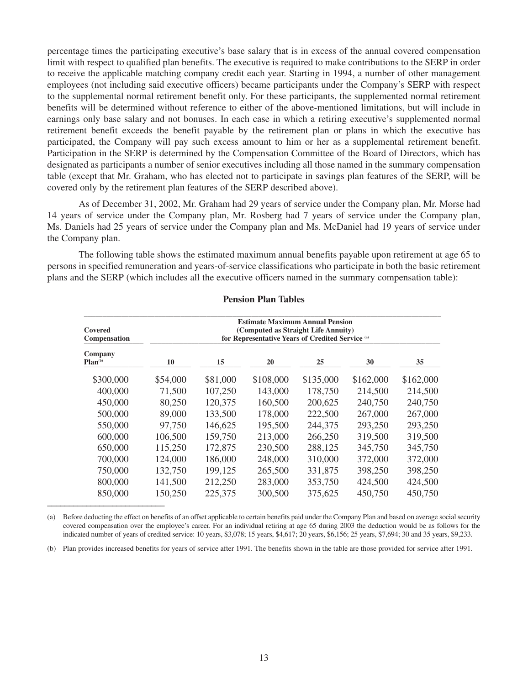percentage times the participating executive's base salary that is in excess of the annual covered compensation limit with respect to qualified plan benefits. The executive is required to make contributions to the SERP in order to receive the applicable matching company credit each year. Starting in 1994, a number of other management employees (not including said executive officers) became participants under the Company's SERP with respect to the supplemental normal retirement benefit only. For these participants, the supplemented normal retirement benefits will be determined without reference to either of the above-mentioned limitations, but will include in earnings only base salary and not bonuses. In each case in which a retiring executive's supplemented normal retirement benefit exceeds the benefit payable by the retirement plan or plans in which the executive has participated, the Company will pay such excess amount to him or her as a supplemental retirement benefit. Participation in the SERP is determined by the Compensation Committee of the Board of Directors, which has designated as participants a number of senior executives including all those named in the summary compensation table (except that Mr. Graham, who has elected not to participate in savings plan features of the SERP, will be covered only by the retirement plan features of the SERP described above).

As of December 31, 2002, Mr. Graham had 29 years of service under the Company plan, Mr. Morse had 14 years of service under the Company plan, Mr. Rosberg had 7 years of service under the Company plan, Ms. Daniels had 25 years of service under the Company plan and Ms. McDaniel had 19 years of service under the Company plan.

The following table shows the estimated maximum annual benefits payable upon retirement at age 65 to persons in specified remuneration and years-of-service classifications who participate in both the basic retirement plans and the SERP (which includes all the executive officers named in the summary compensation table):

| Covered<br>Compensation        | <b>Estimate Maximum Annual Pension</b><br>(Computed as Straight Life Annuity)<br>for Representative Years of Credited Service (a) |          |           |           |           |           |  |
|--------------------------------|-----------------------------------------------------------------------------------------------------------------------------------|----------|-----------|-----------|-----------|-----------|--|
| Company<br>Plan <sub>(b)</sub> | 10                                                                                                                                | 15       | 20        | 25        | 30        | 35        |  |
| \$300,000                      | \$54,000                                                                                                                          | \$81,000 | \$108,000 | \$135,000 | \$162,000 | \$162,000 |  |
| 400,000                        | 71,500                                                                                                                            | 107,250  | 143,000   | 178,750   | 214,500   | 214,500   |  |
| 450,000                        | 80,250                                                                                                                            | 120,375  | 160,500   | 200,625   | 240,750   | 240,750   |  |
| 500,000                        | 89,000                                                                                                                            | 133,500  | 178,000   | 222,500   | 267,000   | 267,000   |  |
| 550,000                        | 97,750                                                                                                                            | 146,625  | 195,500   | 244,375   | 293,250   | 293,250   |  |
| 600,000                        | 106,500                                                                                                                           | 159,750  | 213,000   | 266,250   | 319,500   | 319,500   |  |
| 650,000                        | 115,250                                                                                                                           | 172,875  | 230,500   | 288,125   | 345,750   | 345,750   |  |
| 700,000                        | 124,000                                                                                                                           | 186,000  | 248,000   | 310,000   | 372,000   | 372,000   |  |
| 750,000                        | 132,750                                                                                                                           | 199,125  | 265,500   | 331,875   | 398,250   | 398,250   |  |
| 800,000                        | 141,500                                                                                                                           | 212,250  | 283,000   | 353,750   | 424,500   | 424,500   |  |
| 850,000                        | 150,250                                                                                                                           | 225,375  | 300,500   | 375,625   | 450,750   | 450,750   |  |

### **Pension Plan Tables**

(a) Before deducting the effect on benefits of an offset applicable to certain benefits paid under the Company Plan and based on average social security covered compensation over the employee's career. For an individual retiring at age 65 during 2003 the deduction would be as follows for the indicated number of years of credited service: 10 years, \$3,078; 15 years, \$4,617; 20 years, \$6,156; 25 years, \$7,694; 30 and 35 years, \$9,233.

(b) Plan provides increased benefits for years of service after 1991. The benefits shown in the table are those provided for service after 1991.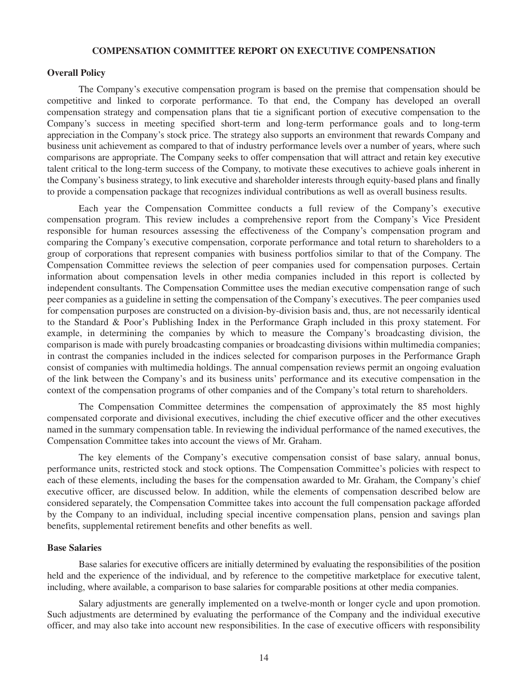#### **COMPENSATION COMMITTEE REPORT ON EXECUTIVE COMPENSATION**

### **Overall Policy**

The Company's executive compensation program is based on the premise that compensation should be competitive and linked to corporate performance. To that end, the Company has developed an overall compensation strategy and compensation plans that tie a significant portion of executive compensation to the Company's success in meeting specified short-term and long-term performance goals and to long-term appreciation in the Company's stock price. The strategy also supports an environment that rewards Company and business unit achievement as compared to that of industry performance levels over a number of years, where such comparisons are appropriate. The Company seeks to offer compensation that will attract and retain key executive talent critical to the long-term success of the Company, to motivate these executives to achieve goals inherent in the Company's business strategy, to link executive and shareholder interests through equity-based plans and finally to provide a compensation package that recognizes individual contributions as well as overall business results.

Each year the Compensation Committee conducts a full review of the Company's executive compensation program. This review includes a comprehensive report from the Company's Vice President responsible for human resources assessing the effectiveness of the Company's compensation program and comparing the Company's executive compensation, corporate performance and total return to shareholders to a group of corporations that represent companies with business portfolios similar to that of the Company. The Compensation Committee reviews the selection of peer companies used for compensation purposes. Certain information about compensation levels in other media companies included in this report is collected by independent consultants. The Compensation Committee uses the median executive compensation range of such peer companies as a guideline in setting the compensation of the Company's executives. The peer companies used for compensation purposes are constructed on a division-by-division basis and, thus, are not necessarily identical to the Standard & Poor's Publishing Index in the Performance Graph included in this proxy statement. For example, in determining the companies by which to measure the Company's broadcasting division, the comparison is made with purely broadcasting companies or broadcasting divisions within multimedia companies; in contrast the companies included in the indices selected for comparison purposes in the Performance Graph consist of companies with multimedia holdings. The annual compensation reviews permit an ongoing evaluation of the link between the Company's and its business units' performance and its executive compensation in the context of the compensation programs of other companies and of the Company's total return to shareholders.

The Compensation Committee determines the compensation of approximately the 85 most highly compensated corporate and divisional executives, including the chief executive officer and the other executives named in the summary compensation table. In reviewing the individual performance of the named executives, the Compensation Committee takes into account the views of Mr. Graham.

The key elements of the Company's executive compensation consist of base salary, annual bonus, performance units, restricted stock and stock options. The Compensation Committee's policies with respect to each of these elements, including the bases for the compensation awarded to Mr. Graham, the Company's chief executive officer, are discussed below. In addition, while the elements of compensation described below are considered separately, the Compensation Committee takes into account the full compensation package afforded by the Company to an individual, including special incentive compensation plans, pension and savings plan benefits, supplemental retirement benefits and other benefits as well.

#### **Base Salaries**

Base salaries for executive officers are initially determined by evaluating the responsibilities of the position held and the experience of the individual, and by reference to the competitive marketplace for executive talent, including, where available, a comparison to base salaries for comparable positions at other media companies.

Salary adjustments are generally implemented on a twelve-month or longer cycle and upon promotion. Such adjustments are determined by evaluating the performance of the Company and the individual executive officer, and may also take into account new responsibilities. In the case of executive officers with responsibility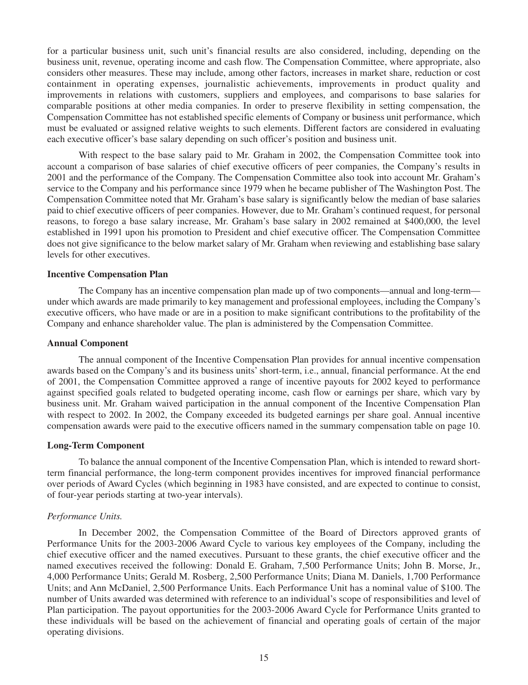for a particular business unit, such unit's financial results are also considered, including, depending on the business unit, revenue, operating income and cash flow. The Compensation Committee, where appropriate, also considers other measures. These may include, among other factors, increases in market share, reduction or cost containment in operating expenses, journalistic achievements, improvements in product quality and improvements in relations with customers, suppliers and employees, and comparisons to base salaries for comparable positions at other media companies. In order to preserve flexibility in setting compensation, the Compensation Committee has not established specific elements of Company or business unit performance, which must be evaluated or assigned relative weights to such elements. Different factors are considered in evaluating each executive officer's base salary depending on such officer's position and business unit.

With respect to the base salary paid to Mr. Graham in 2002, the Compensation Committee took into account a comparison of base salaries of chief executive officers of peer companies, the Company's results in 2001 and the performance of the Company. The Compensation Committee also took into account Mr. Graham's service to the Company and his performance since 1979 when he became publisher of The Washington Post. The Compensation Committee noted that Mr. Graham's base salary is significantly below the median of base salaries paid to chief executive officers of peer companies. However, due to Mr. Graham's continued request, for personal reasons, to forego a base salary increase, Mr. Graham's base salary in 2002 remained at \$400,000, the level established in 1991 upon his promotion to President and chief executive officer. The Compensation Committee does not give significance to the below market salary of Mr. Graham when reviewing and establishing base salary levels for other executives.

#### **Incentive Compensation Plan**

The Company has an incentive compensation plan made up of two components—annual and long-term under which awards are made primarily to key management and professional employees, including the Company's executive officers, who have made or are in a position to make significant contributions to the profitability of the Company and enhance shareholder value. The plan is administered by the Compensation Committee.

#### **Annual Component**

The annual component of the Incentive Compensation Plan provides for annual incentive compensation awards based on the Company's and its business units' short-term, i.e., annual, financial performance. At the end of 2001, the Compensation Committee approved a range of incentive payouts for 2002 keyed to performance against specified goals related to budgeted operating income, cash flow or earnings per share, which vary by business unit. Mr. Graham waived participation in the annual component of the Incentive Compensation Plan with respect to 2002. In 2002, the Company exceeded its budgeted earnings per share goal. Annual incentive compensation awards were paid to the executive officers named in the summary compensation table on page 10.

#### **Long-Term Component**

To balance the annual component of the Incentive Compensation Plan, which is intended to reward shortterm financial performance, the long-term component provides incentives for improved financial performance over periods of Award Cycles (which beginning in 1983 have consisted, and are expected to continue to consist, of four-year periods starting at two-year intervals).

#### *Performance Units.*

In December 2002, the Compensation Committee of the Board of Directors approved grants of Performance Units for the 2003-2006 Award Cycle to various key employees of the Company, including the chief executive officer and the named executives. Pursuant to these grants, the chief executive officer and the named executives received the following: Donald E. Graham, 7,500 Performance Units; John B. Morse, Jr., 4,000 Performance Units; Gerald M. Rosberg, 2,500 Performance Units; Diana M. Daniels, 1,700 Performance Units; and Ann McDaniel, 2,500 Performance Units. Each Performance Unit has a nominal value of \$100. The number of Units awarded was determined with reference to an individual's scope of responsibilities and level of Plan participation. The payout opportunities for the 2003-2006 Award Cycle for Performance Units granted to these individuals will be based on the achievement of financial and operating goals of certain of the major operating divisions.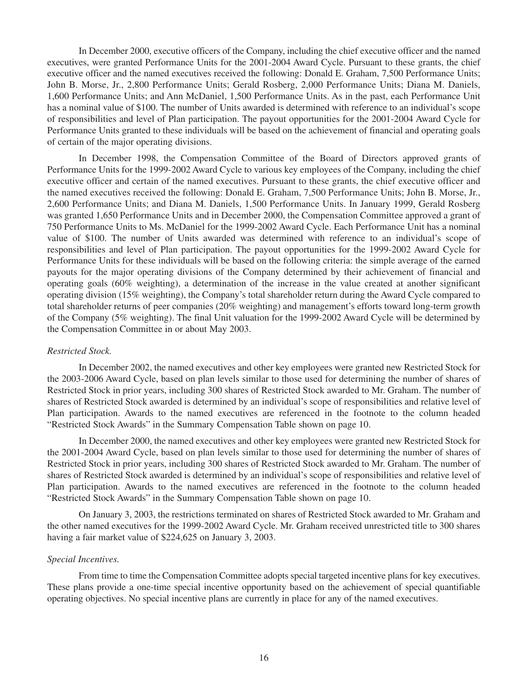In December 2000, executive officers of the Company, including the chief executive officer and the named executives, were granted Performance Units for the 2001-2004 Award Cycle. Pursuant to these grants, the chief executive officer and the named executives received the following: Donald E. Graham, 7,500 Performance Units; John B. Morse, Jr., 2,800 Performance Units; Gerald Rosberg, 2,000 Performance Units; Diana M. Daniels, 1,600 Performance Units; and Ann McDaniel, 1,500 Performance Units. As in the past, each Performance Unit has a nominal value of \$100. The number of Units awarded is determined with reference to an individual's scope of responsibilities and level of Plan participation. The payout opportunities for the 2001-2004 Award Cycle for Performance Units granted to these individuals will be based on the achievement of financial and operating goals of certain of the major operating divisions.

In December 1998, the Compensation Committee of the Board of Directors approved grants of Performance Units for the 1999-2002 Award Cycle to various key employees of the Company, including the chief executive officer and certain of the named executives. Pursuant to these grants, the chief executive officer and the named executives received the following: Donald E. Graham, 7,500 Performance Units; John B. Morse, Jr., 2,600 Performance Units; and Diana M. Daniels, 1,500 Performance Units. In January 1999, Gerald Rosberg was granted 1,650 Performance Units and in December 2000, the Compensation Committee approved a grant of 750 Performance Units to Ms. McDaniel for the 1999-2002 Award Cycle. Each Performance Unit has a nominal value of \$100. The number of Units awarded was determined with reference to an individual's scope of responsibilities and level of Plan participation. The payout opportunities for the 1999-2002 Award Cycle for Performance Units for these individuals will be based on the following criteria: the simple average of the earned payouts for the major operating divisions of the Company determined by their achievement of financial and operating goals (60% weighting), a determination of the increase in the value created at another significant operating division (15% weighting), the Company's total shareholder return during the Award Cycle compared to total shareholder returns of peer companies (20% weighting) and management's efforts toward long-term growth of the Company (5% weighting). The final Unit valuation for the 1999-2002 Award Cycle will be determined by the Compensation Committee in or about May 2003.

### *Restricted Stock.*

In December 2002, the named executives and other key employees were granted new Restricted Stock for the 2003-2006 Award Cycle, based on plan levels similar to those used for determining the number of shares of Restricted Stock in prior years, including 300 shares of Restricted Stock awarded to Mr. Graham. The number of shares of Restricted Stock awarded is determined by an individual's scope of responsibilities and relative level of Plan participation. Awards to the named executives are referenced in the footnote to the column headed "Restricted Stock Awards" in the Summary Compensation Table shown on page 10.

In December 2000, the named executives and other key employees were granted new Restricted Stock for the 2001-2004 Award Cycle, based on plan levels similar to those used for determining the number of shares of Restricted Stock in prior years, including 300 shares of Restricted Stock awarded to Mr. Graham. The number of shares of Restricted Stock awarded is determined by an individual's scope of responsibilities and relative level of Plan participation. Awards to the named executives are referenced in the footnote to the column headed "Restricted Stock Awards" in the Summary Compensation Table shown on page 10.

On January 3, 2003, the restrictions terminated on shares of Restricted Stock awarded to Mr. Graham and the other named executives for the 1999-2002 Award Cycle. Mr. Graham received unrestricted title to 300 shares having a fair market value of \$224,625 on January 3, 2003.

### *Special Incentives.*

From time to time the Compensation Committee adopts special targeted incentive plans for key executives. These plans provide a one-time special incentive opportunity based on the achievement of special quantifiable operating objectives. No special incentive plans are currently in place for any of the named executives.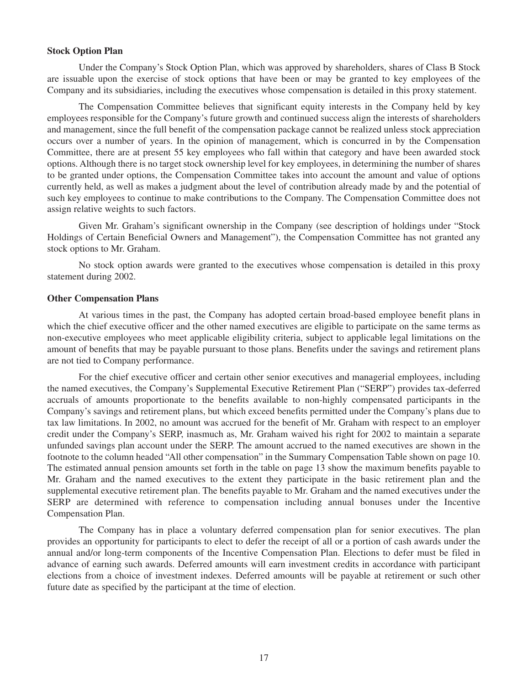#### **Stock Option Plan**

Under the Company's Stock Option Plan, which was approved by shareholders, shares of Class B Stock are issuable upon the exercise of stock options that have been or may be granted to key employees of the Company and its subsidiaries, including the executives whose compensation is detailed in this proxy statement.

The Compensation Committee believes that significant equity interests in the Company held by key employees responsible for the Company's future growth and continued success align the interests of shareholders and management, since the full benefit of the compensation package cannot be realized unless stock appreciation occurs over a number of years. In the opinion of management, which is concurred in by the Compensation Committee, there are at present 55 key employees who fall within that category and have been awarded stock options. Although there is no target stock ownership level for key employees, in determining the number of shares to be granted under options, the Compensation Committee takes into account the amount and value of options currently held, as well as makes a judgment about the level of contribution already made by and the potential of such key employees to continue to make contributions to the Company. The Compensation Committee does not assign relative weights to such factors.

Given Mr. Graham's significant ownership in the Company (see description of holdings under "Stock Holdings of Certain Beneficial Owners and Management"), the Compensation Committee has not granted any stock options to Mr. Graham.

No stock option awards were granted to the executives whose compensation is detailed in this proxy statement during 2002.

#### **Other Compensation Plans**

At various times in the past, the Company has adopted certain broad-based employee benefit plans in which the chief executive officer and the other named executives are eligible to participate on the same terms as non-executive employees who meet applicable eligibility criteria, subject to applicable legal limitations on the amount of benefits that may be payable pursuant to those plans. Benefits under the savings and retirement plans are not tied to Company performance.

For the chief executive officer and certain other senior executives and managerial employees, including the named executives, the Company's Supplemental Executive Retirement Plan ("SERP") provides tax-deferred accruals of amounts proportionate to the benefits available to non-highly compensated participants in the Company's savings and retirement plans, but which exceed benefits permitted under the Company's plans due to tax law limitations. In 2002, no amount was accrued for the benefit of Mr. Graham with respect to an employer credit under the Company's SERP, inasmuch as, Mr. Graham waived his right for 2002 to maintain a separate unfunded savings plan account under the SERP. The amount accrued to the named executives are shown in the footnote to the column headed "All other compensation" in the Summary Compensation Table shown on page 10. The estimated annual pension amounts set forth in the table on page 13 show the maximum benefits payable to Mr. Graham and the named executives to the extent they participate in the basic retirement plan and the supplemental executive retirement plan. The benefits payable to Mr. Graham and the named executives under the SERP are determined with reference to compensation including annual bonuses under the Incentive Compensation Plan.

The Company has in place a voluntary deferred compensation plan for senior executives. The plan provides an opportunity for participants to elect to defer the receipt of all or a portion of cash awards under the annual and/or long-term components of the Incentive Compensation Plan. Elections to defer must be filed in advance of earning such awards. Deferred amounts will earn investment credits in accordance with participant elections from a choice of investment indexes. Deferred amounts will be payable at retirement or such other future date as specified by the participant at the time of election.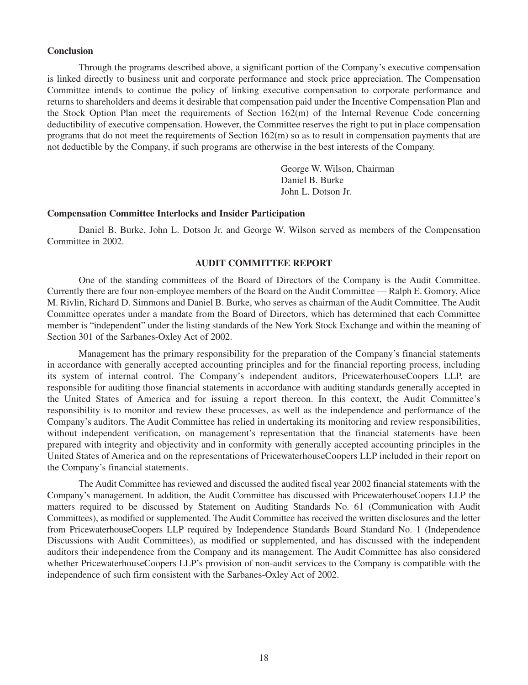#### **Conclusion**

Through the programs described above, a significant portion of the Company's executive compensation is linked directly to business unit and corporate performance and stock price appreciation. The Compensation Committee intends to continue the policy of linking executive compensation to corporate performance and returns to shareholders and deems it desirable that compensation paid under the Incentive Compensation Plan and the Stock Option Plan meet the requirements of Section 162(m) of the Internal Revenue Code concerning deductibility of executive compensation. However, the Committee reserves the right to put in place compensation programs that do not meet the requirements of Section 162(m) so as to result in compensation payments that are not deductible by the Company, if such programs are otherwise in the best interests of the Company.

> George W. Wilson, Chairman Daniel B. Burke John L. Dotson Jr.

### **Compensation Committee Interlocks and Insider Participation**

Daniel B. Burke, John L. Dotson Jr. and George W. Wilson served as members of the Compensation Committee in 2002.

### **AUDIT COMMITTEE REPORT**

One of the standing committees of the Board of Directors of the Company is the Audit Committee. Currently there are four non-employee members of the Board on the Audit Committee — Ralph E. Gomory, Alice M. Rivlin, Richard D. Simmons and Daniel B. Burke, who serves as chairman of the Audit Committee. The Audit Committee operates under a mandate from the Board of Directors, which has determined that each Committee member is "independent" under the listing standards of the New York Stock Exchange and within the meaning of Section 301 of the Sarbanes-Oxley Act of 2002.

Management has the primary responsibility for the preparation of the Company's financial statements in accordance with generally accepted accounting principles and for the financial reporting process, including its system of internal control. The Company's independent auditors, PricewaterhouseCoopers LLP, are responsible for auditing those financial statements in accordance with auditing standards generally accepted in the United States of America and for issuing a report thereon. In this context, the Audit Committee's responsibility is to monitor and review these processes, as well as the independence and performance of the Company's auditors. The Audit Committee has relied in undertaking its monitoring and review responsibilities, without independent verification, on management's representation that the financial statements have been prepared with integrity and objectivity and in conformity with generally accepted accounting principles in the United States of America and on the representations of PricewaterhouseCoopers LLP included in their report on the Company's financial statements.

The Audit Committee has reviewed and discussed the audited fiscal year 2002 financial statements with the Company's management. In addition, the Audit Committee has discussed with PricewaterhouseCoopers LLP the matters required to be discussed by Statement on Auditing Standards No. 61 (Communication with Audit Committees), as modified or supplemented. The Audit Committee has received the written disclosures and the letter from PricewaterhouseCoopers LLP required by Independence Standards Board Standard No. 1 (Independence Discussions with Audit Committees), as modified or supplemented, and has discussed with the independent auditors their independence from the Company and its management. The Audit Committee has also considered whether PricewaterhouseCoopers LLP's provision of non-audit services to the Company is compatible with the independence of such firm consistent with the Sarbanes-Oxley Act of 2002.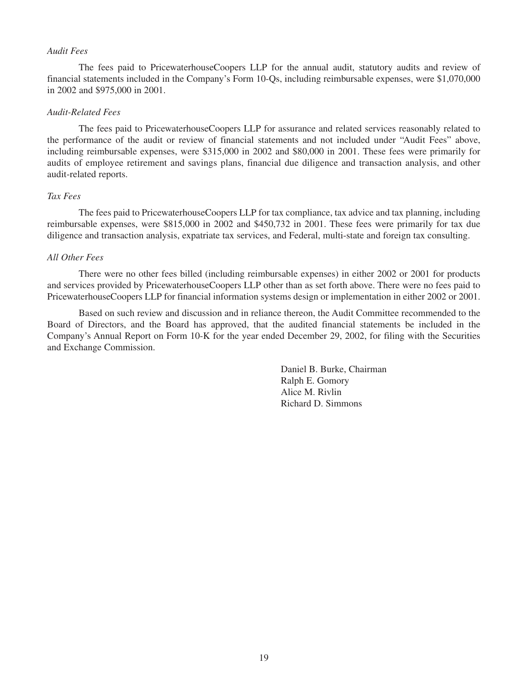#### *Audit Fees*

The fees paid to PricewaterhouseCoopers LLP for the annual audit, statutory audits and review of financial statements included in the Company's Form 10-Qs, including reimbursable expenses, were \$1,070,000 in 2002 and \$975,000 in 2001.

### *Audit-Related Fees*

The fees paid to PricewaterhouseCoopers LLP for assurance and related services reasonably related to the performance of the audit or review of financial statements and not included under "Audit Fees" above, including reimbursable expenses, were \$315,000 in 2002 and \$80,000 in 2001. These fees were primarily for audits of employee retirement and savings plans, financial due diligence and transaction analysis, and other audit-related reports.

### *Tax Fees*

The fees paid to PricewaterhouseCoopers LLP for tax compliance, tax advice and tax planning, including reimbursable expenses, were \$815,000 in 2002 and \$450,732 in 2001. These fees were primarily for tax due diligence and transaction analysis, expatriate tax services, and Federal, multi-state and foreign tax consulting.

#### *All Other Fees*

There were no other fees billed (including reimbursable expenses) in either 2002 or 2001 for products and services provided by PricewaterhouseCoopers LLP other than as set forth above. There were no fees paid to PricewaterhouseCoopers LLP for financial information systems design or implementation in either 2002 or 2001.

Based on such review and discussion and in reliance thereon, the Audit Committee recommended to the Board of Directors, and the Board has approved, that the audited financial statements be included in the Company's Annual Report on Form 10-K for the year ended December 29, 2002, for filing with the Securities and Exchange Commission.

> Daniel B. Burke, Chairman Ralph E. Gomory Alice M. Rivlin Richard D. Simmons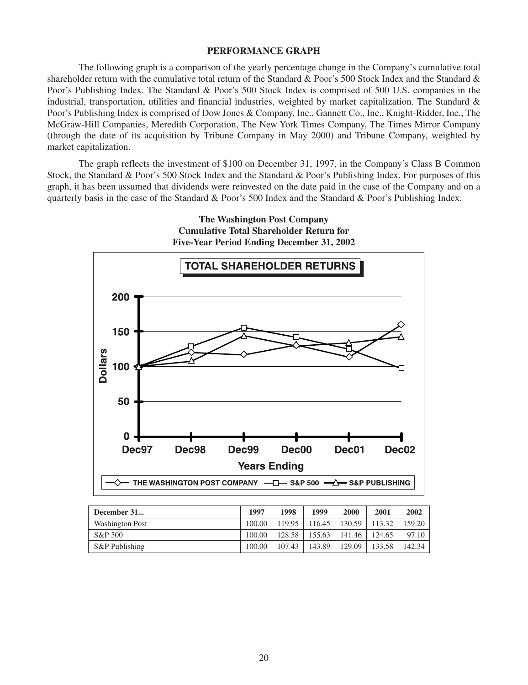#### **PERFORMANCE GRAPH**

The following graph is a comparison of the yearly percentage change in the Company's cumulative total shareholder return with the cumulative total return of the Standard & Poor's 500 Stock Index and the Standard & Poor's Publishing Index. The Standard & Poor's 500 Stock Index is comprised of 500 U.S. companies in the industrial, transportation, utilities and financial industries, weighted by market capitalization. The Standard  $\&$ Poor's Publishing Index is comprised of Dow Jones & Company, Inc., Gannett Co., Inc., Knight-Ridder, Inc., The McGraw-Hill Companies, Meredith Corporation, The New York Times Company, The Times Mirror Company (through the date of its acquisition by Tribune Company in May 2000) and Tribune Company, weighted by market capitalization.

The graph reflects the investment of \$100 on December 31, 1997, in the Company's Class B Common Stock, the Standard & Poor's 500 Stock Index and the Standard & Poor's Publishing Index. For purposes of this graph, it has been assumed that dividends were reinvested on the date paid in the case of the Company and on a quarterly basis in the case of the Standard & Poor's 500 Index and the Standard & Poor's Publishing Index.



| <b>The Washington Post Company</b>             |  |
|------------------------------------------------|--|
| <b>Cumulative Total Shareholder Return for</b> |  |
| Five-Year Period Ending December 31, 2002      |  |

| December 31            | 1997   | 1998   | 1999   | 2000   | 2001   | 2002   |
|------------------------|--------|--------|--------|--------|--------|--------|
| <b>Washington Post</b> | 100.00 | 119.95 | 16.45  | 130.59 | 113.32 | 159.20 |
| S&P 500                | 100.00 | 128.58 | 155.63 | 141.46 | 124.65 | 97.10  |
| S&P Publishing         | 100.00 | 107.43 | 143.89 | 129.09 | 133.58 | 142.34 |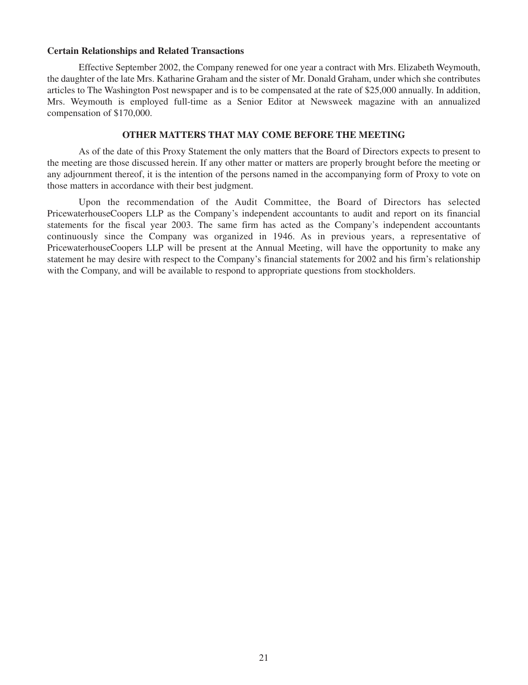#### **Certain Relationships and Related Transactions**

Effective September 2002, the Company renewed for one year a contract with Mrs. Elizabeth Weymouth, the daughter of the late Mrs. Katharine Graham and the sister of Mr. Donald Graham, under which she contributes articles to The Washington Post newspaper and is to be compensated at the rate of \$25,000 annually. In addition, Mrs. Weymouth is employed full-time as a Senior Editor at Newsweek magazine with an annualized compensation of \$170,000.

#### **OTHER MATTERS THAT MAY COME BEFORE THE MEETING**

As of the date of this Proxy Statement the only matters that the Board of Directors expects to present to the meeting are those discussed herein. If any other matter or matters are properly brought before the meeting or any adjournment thereof, it is the intention of the persons named in the accompanying form of Proxy to vote on those matters in accordance with their best judgment.

Upon the recommendation of the Audit Committee, the Board of Directors has selected PricewaterhouseCoopers LLP as the Company's independent accountants to audit and report on its financial statements for the fiscal year 2003. The same firm has acted as the Company's independent accountants continuously since the Company was organized in 1946. As in previous years, a representative of PricewaterhouseCoopers LLP will be present at the Annual Meeting, will have the opportunity to make any statement he may desire with respect to the Company's financial statements for 2002 and his firm's relationship with the Company, and will be available to respond to appropriate questions from stockholders.